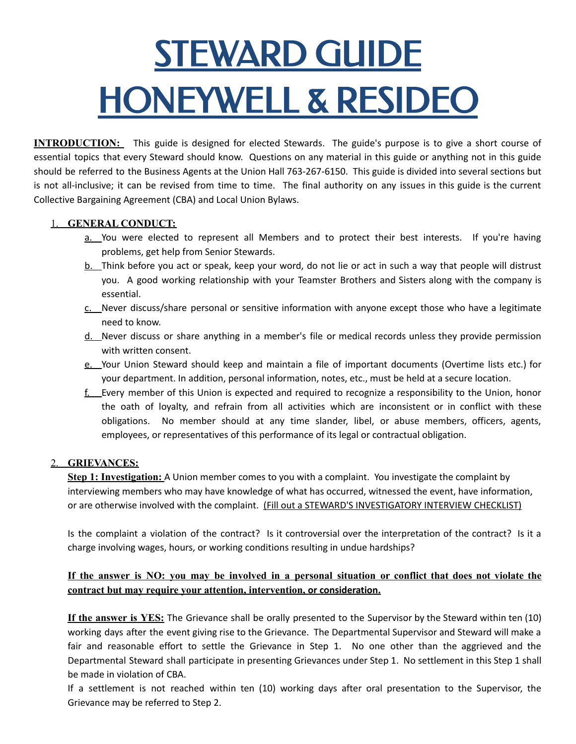# STEWARD GUIDE HONEYWELL & RESIDEO

**INTRODUCTION:** This guide is designed for elected Stewards. The guide's purpose is to give a short course of essential topics that every Steward should know. Questions on any material in this guide or anything not in this guide should be referred to the Business Agents at the Union Hall 763-267-6150. This guide is divided into several sections but is not all-inclusive; it can be revised from time to time. The final authority on any issues in this guide is the current Collective Bargaining Agreement (CBA) and Local Union Bylaws.

### 1. **GENERAL CONDUCT:**

- a. You were elected to represent all Members and to protect their best interests. If you're having problems, get help from Senior Stewards.
- b. Think before you act or speak, keep your word, do not lie or act in such a way that people will distrust you. A good working relationship with your Teamster Brothers and Sisters along with the company is essential.
- c. Never discuss/share personal or sensitive information with anyone except those who have a legitimate need to know.
- d. Never discuss or share anything in a member's file or medical records unless they provide permission with written consent.
- e. Your Union Steward should keep and maintain a file of important documents (Overtime lists etc.) for your department. In addition, personal information, notes, etc., must be held at a secure location.
- f. Every member of this Union is expected and required to recognize a responsibility to the Union, honor the oath of loyalty, and refrain from all activities which are inconsistent or in conflict with these obligations. No member should at any time slander, libel, or abuse members, officers, agents, employees, or representatives of this performance of its legal or contractual obligation.

### 2. **GRIEVANCES:**

**Step 1: Investigation:** A Union member comes to you with a complaint. You investigate the complaint by interviewing members who may have knowledge of what has occurred, witnessed the event, have information, or are otherwise involved with the complaint. (Fill out a STEWARD'S INVESTIGATORY INTERVIEW CHECKLIST)

Is the complaint a violation of the contract? Is it controversial over the interpretation of the contract? Is it a charge involving wages, hours, or working conditions resulting in undue hardships?

## If the answer is NO: you may be involved in a personal situation or conflict that does not violate the **contract but may require your attention, intervention, or consideration.**

**If the answer is YES:** The Grievance shall be orally presented to the Supervisor by the Steward within ten (10) working days after the event giving rise to the Grievance. The Departmental Supervisor and Steward will make a fair and reasonable effort to settle the Grievance in Step 1. No one other than the aggrieved and the Departmental Steward shall participate in presenting Grievances under Step 1. No settlement in this Step 1 shall be made in violation of CBA.

If a settlement is not reached within ten (10) working days after oral presentation to the Supervisor, the Grievance may be referred to Step 2.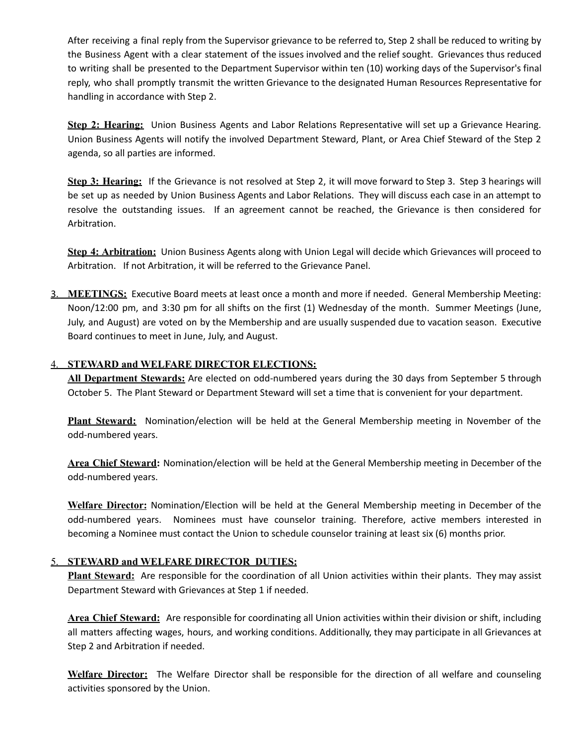After receiving a final reply from the Supervisor grievance to be referred to, Step 2 shall be reduced to writing by the Business Agent with a clear statement of the issues involved and the relief sought. Grievances thus reduced to writing shall be presented to the Department Supervisor within ten (10) working days of the Supervisor's final reply, who shall promptly transmit the written Grievance to the designated Human Resources Representative for handling in accordance with Step 2.

**Step 2: Hearing:** Union Business Agents and Labor Relations Representative will set up a Grievance Hearing. Union Business Agents will notify the involved Department Steward, Plant, or Area Chief Steward of the Step 2 agenda, so all parties are informed.

**Step 3: Hearing:** If the Grievance is not resolved at Step 2, it will move forward to Step 3. Step 3 hearings will be set up as needed by Union Business Agents and Labor Relations. They will discuss each case in an attempt to resolve the outstanding issues. If an agreement cannot be reached, the Grievance is then considered for Arbitration.

**Step 4: Arbitration:** Union Business Agents along with Union Legal will decide which Grievances will proceed to Arbitration. If not Arbitration, it will be referred to the Grievance Panel.

3. **MEETINGS:** Executive Board meets at least once a month and more if needed. General Membership Meeting: Noon/12:00 pm, and 3:30 pm for all shifts on the first (1) Wednesday of the month. Summer Meetings (June, July, and August) are voted on by the Membership and are usually suspended due to vacation season. Executive Board continues to meet in June, July, and August.

### 4. **STEWARD and WELFARE DIRECTOR ELECTIONS:**

**All Department Stewards:** Are elected on odd-numbered years during the 30 days from September 5 through October 5. The Plant Steward or Department Steward will set a time that is convenient for your department.

**Plant Steward:** Nomination/election will be held at the General Membership meeting in November of the odd-numbered years.

**Area Chief Steward:** Nomination/election will be held at the General Membership meeting in December of the odd-numbered years.

**Welfare Director:** Nomination/Election will be held at the General Membership meeting in December of the odd-numbered years. Nominees must have counselor training. Therefore, active members interested in becoming a Nominee must contact the Union to schedule counselor training at least six (6) months prior.

### 5. **STEWARD and WELFARE DIRECTOR DUTIES:**

**Plant Steward:** Are responsible for the coordination of all Union activities within their plants. They may assist Department Steward with Grievances at Step 1 if needed.

**Area Chief Steward:** Are responsible for coordinating all Union activities within their division or shift, including all matters affecting wages, hours, and working conditions. Additionally, they may participate in all Grievances at Step 2 and Arbitration if needed.

**Welfare Director:** The Welfare Director shall be responsible for the direction of all welfare and counseling activities sponsored by the Union.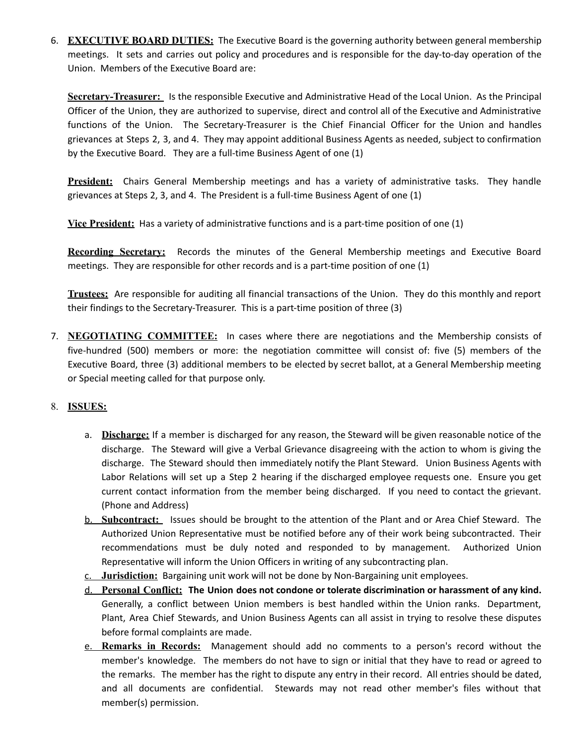6. **EXECUTIVE BOARD DUTIES:** The Executive Board is the governing authority between general membership meetings. It sets and carries out policy and procedures and is responsible for the day-to-day operation of the Union. Members of the Executive Board are:

**Secretary-Treasurer:** Is the responsible Executive and Administrative Head of the Local Union. As the Principal Officer of the Union, they are authorized to supervise, direct and control all of the Executive and Administrative functions of the Union. The Secretary-Treasurer is the Chief Financial Officer for the Union and handles grievances at Steps 2, 3, and 4. They may appoint additional Business Agents as needed, subject to confirmation by the Executive Board. They are a full-time Business Agent of one (1)

**President:** Chairs General Membership meetings and has a variety of administrative tasks. They handle grievances at Steps 2, 3, and 4. The President is a full-time Business Agent of one (1)

**Vice President:** Has a variety of administrative functions and is a part-time position of one (1)

**Recording Secretary:** Records the minutes of the General Membership meetings and Executive Board meetings. They are responsible for other records and is a part-time position of one (1)

**Trustees:** Are responsible for auditing all financial transactions of the Union. They do this monthly and report their findings to the Secretary-Treasurer. This is a part-time position of three (3)

7. **NEGOTIATING COMMITTEE:** In cases where there are negotiations and the Membership consists of five-hundred (500) members or more: the negotiation committee will consist of: five (5) members of the Executive Board, three (3) additional members to be elected by secret ballot, at a General Membership meeting or Special meeting called for that purpose only.

### 8. **ISSUES:**

- a. **Discharge:** If a member is discharged for any reason, the Steward will be given reasonable notice of the discharge. The Steward will give a Verbal Grievance disagreeing with the action to whom is giving the discharge. The Steward should then immediately notify the Plant Steward. Union Business Agents with Labor Relations will set up a Step 2 hearing if the discharged employee requests one. Ensure you get current contact information from the member being discharged. If you need to contact the grievant. (Phone and Address)
- b. **Subcontract:** Issues should be brought to the attention of the Plant and or Area Chief Steward. The Authorized Union Representative must be notified before any of their work being subcontracted. Their recommendations must be duly noted and responded to by management. Authorized Union Representative will inform the Union Officers in writing of any subcontracting plan.
- c. **Jurisdiction:** Bargaining unit work will not be done by Non-Bargaining unit employees.
- d. **Personal Conflict: The Union does not condone or tolerate discrimination or harassment of any kind.** Generally, a conflict between Union members is best handled within the Union ranks. Department, Plant, Area Chief Stewards, and Union Business Agents can all assist in trying to resolve these disputes before formal complaints are made.
- e. **Remarks in Records:** Management should add no comments to a person's record without the member's knowledge. The members do not have to sign or initial that they have to read or agreed to the remarks. The member has the right to dispute any entry in their record. All entries should be dated, and all documents are confidential. Stewards may not read other member's files without that member(s) permission.